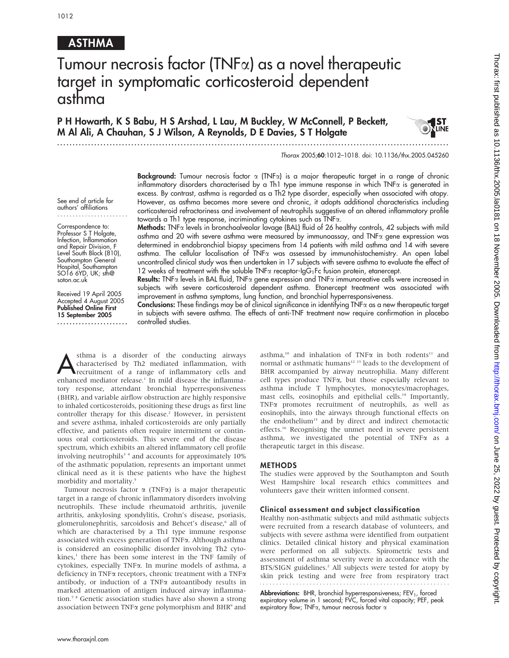# ASTHMA

# Tumour necrosis factor (TNF $\alpha$ ) as a novel therapeutic target in symptomatic corticosteroid dependent asthma

P H Howarth, K S Babu, H S Arshad, L Lau, M Buckley, W McConnell, P Beckett, M Al Ali, A Chauhan, S J Wilson, A Reynolds, D E Davies, S T Holgate

...............................................................................................................................

#### Thorax 2005;60:1012–1018. doi: 10.1136/thx.2005.045260

Background: Tumour necrosis factor  $\alpha$  (TNF $\alpha$ ) is a major therapeutic target in a range of chronic inflammatory disorders characterised by a Th1 type immune response in which TNFa is generated in excess. By contrast, asthma is regarded as a Th2 type disorder, especially when associated with atopy. However, as asthma becomes more severe and chronic, it adopts additional characteristics including corticosteroid refractoriness and involvement of neutrophils suggestive of an altered inflammatory profile towards a Th1 type response, incriminating cytokines such as TNFa.

See end of article for authors' affiliations .......................

Correspondence to: Professor S T Holgate, Infection, Inflammation and Repair Division, F Level South Block (810), Southampton General Hospital, Southampton SO16 6YD, UK; sth@ soton.ac.uk

Received 19 April 2005 Accepted 4 August 2005 Published Online First 15 September 2005 ....................... Methods: TNF<sub>a</sub> levels in bronchoalveolar lavage (BAL) fluid of 26 healthy controls, 42 subjects with mild asthma and 20 with severe asthma were measured by immunoassay, and  $TNF\alpha$  gene expression was determined in endobronchial biopsy specimens from 14 patients with mild asthma and 14 with severe asthma. The cellular localisation of TNFa was assessed by immunohistochemistry. An open label uncontrolled clinical study was then undertaken in 17 subjects with severe asthma to evaluate the effect of

12 weeks of treatment with the soluble TNF $\alpha$  receptor-IgG<sub>1</sub>Fc fusion protein, etanercept. Results: TNFa levels in BAL fluid, TNFa gene expression and TNFa immunoreative cells were increased in subjects with severe corticosteroid dependent asthma. Etanercept treatment was associated with improvement in asthma symptoms, lung function, and bronchial hyperresponsiveness.

**Conclusions:** These findings may be of clinical significance in identifying  $TNF\alpha$  as a new therapeutic target in subjects with severe asthma. The effects of anti-TNF treatment now require confirmation in placebo controlled studies.

sthma is a disorder of the conducting airways<br>characterised by Th2 mediated inflammation, with<br>recruitment of a range of inflammatory cells and<br>and and and integral the mild disosos the inflammator characterised by Th2 mediated inflammation, with enhanced mediator release.<sup>1</sup> In mild disease the inflammatory response, attendant bronchial hyperresponsiveness (BHR), and variable airflow obstruction are highly responsive to inhaled corticosteroids, positioning these drugs as first line controller therapy for this disease.<sup>2</sup> However, in persistent and severe asthma, inhaled corticosteroids are only partially effective, and patients often require intermittent or continuous oral corticosteroids. This severe end of the disease spectrum, which exhibits an altered inflammatory cell profile involving neutrophils<sup>34</sup> and accounts for approximately 10% of the asthmatic population, represents an important unmet clinical need as it is these patients who have the highest morbidity and mortality.5

Tumour necrosis factor  $\alpha$  (TNF $\alpha$ ) is a major therapeutic target in a range of chronic inflammatory disorders involving neutrophils. These include rheumatoid arthritis, juvenile arthritis, ankylosing spondylitis, Crohn's disease, psoriasis, glomerulonephritis, sarcoidosis and Behcet's disease,<sup>6</sup> all of which are characterised by a Th1 type immune response associated with excess generation of TNFa. Although asthma is considered an eosinophilic disorder involving Th2 cyto $kines<sub>i</sub>$ <sup>1</sup> there has been some interest in the TNF family of cytokines, especially TNFa. In murine models of asthma, a deficiency in TNF $\alpha$  receptors, chronic treatment with a TNF $\alpha$ antibody, or induction of a TNF $\alpha$  autoantibody results in marked attenuation of antigen induced airway inflammation.7 8 Genetic association studies have also shown a strong association between TNF $\alpha$  gene polymorphism and BHR $\degree$  and asthma,<sup>10</sup> and inhalation of TNF $\alpha$  in both rodents<sup>11</sup> and normal or asthmatic humans<sup>12-13</sup> leads to the development of BHR accompanied by airway neutrophilia. Many different cell types produce TNFa, but those especially relevant to asthma include T lymphocytes, monocytes/macrophages, mast cells, eosinophils and epithelial cells.<sup>14</sup> Importantly, TNFa promotes recruitment of neutrophils, as well as eosinophils, into the airways through functional effects on the endothelium<sup>15</sup> and by direct and indirect chemotactic effects.<sup>16</sup> Recognising the unmet need in severe persistent asthma, we investigated the potential of TNF $\alpha$  as a therapeutic target in this disease.

#### METHODS

The studies were approved by the Southampton and South West Hampshire local research ethics committees and volunteers gave their written informed consent.

#### Clinical assessment and subject classification

Healthy non-asthmatic subjects and mild asthmatic subjects were recruited from a research database of volunteers, and subjects with severe asthma were identified from outpatient clinics. Detailed clinical history and physical examination were performed on all subjects. Spirometric tests and assessment of asthma severity were in accordance with the BTS/SIGN guidelines.<sup>2</sup> All subjects were tested for atopy by skin prick testing and were free from respiratory tract

**Abbreviations:** BHR, bronchial hyperresponsiveness; FEV<sub>1</sub>, forced<br>expiratory volume in 1 second; FVC, forced vital capacity; PEF, peak expiratory flow; TNF $\alpha$ , tumour necrosis factor  $\alpha$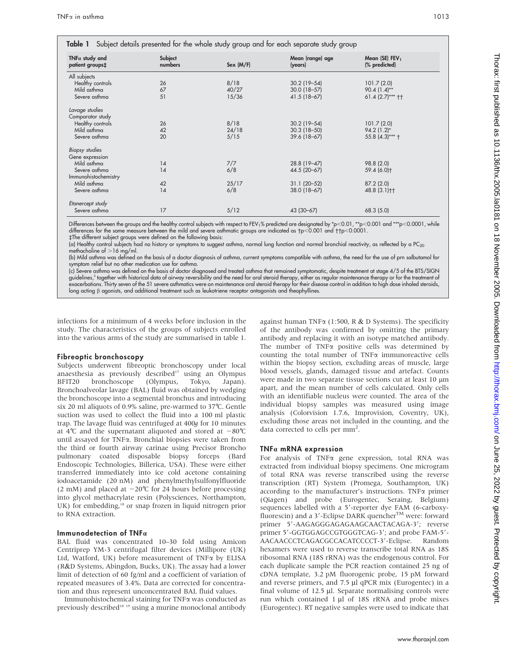and a state of the state

| TNF $\alpha$ study and<br>patient groups‡ | Subject<br>numbers | Sex (M/F) | Mean (range) age<br>(years) | Mean (SE) $FEV1$<br>(% predicted) |
|-------------------------------------------|--------------------|-----------|-----------------------------|-----------------------------------|
| All subjects                              |                    |           |                             |                                   |
| Healthy controls                          | 26                 | 8/18      | $30.2$ (19-54)              | 101.7(2.0)                        |
| Mild asthma                               | 67                 | 40/27     | $30.0$ (18-57)              | $90.4(1.4)$ **                    |
| Severe asthma                             | 51                 | 15/36     | 41.5 (18-67)                | $61.4$ (2.7)*** ††                |
| Lavage studies                            |                    |           |                             |                                   |
| Comparator study                          |                    |           |                             |                                   |
| Healthy controls                          | 26                 | 8/18      | $30.2$ (19-54)              | 101.7(2.0)                        |
| Mild asthma                               | 42                 | 24/18     | $30.3(18 - 50)$             | $94.2(1.2)^{*}$                   |
| Severe asthma                             | 20                 | 5/15      | 39.6 (18-67)                | 55.8 $(4.3)***$ †                 |
| Biopsy studies                            |                    |           |                             |                                   |
| Gene expression                           |                    |           |                             |                                   |
| Mild asthma                               | 14                 | 7/7       | 28.8 (19-47)                | 98.8 (2.0)                        |
| Severe asthma                             | 14                 | 6/8       | 44.5 (20-67)                | 59.4 (6.0)+                       |
| Immunohistochemistry                      |                    |           |                             |                                   |
| Mild asthma                               | 42                 | 25/17     | $31.1 (20 - 52)$            | 87.2(2.0)                         |
| Severe asthma                             | 14                 | 6/8       | 38.0 (18-67)                | 48.8 (3.1) <sup>++</sup>          |
| Etanercept study                          |                    |           |                             |                                   |
| Severe asthma                             | 17                 | 5/12      | 43 (30-67)                  | 68.3 (5.0)                        |

 $\ddot{\phantom{0}}$ 

Differences between the groups and the healthy control subjects with respect to FEV1% predicted are designated by \*p<0.01, \*\*p<0.001 and \*\*\*p<0.0001, while<br>differences for the same measure between the mild and severe asthm

#The different subject groups were defined on the following basis:

 $\sim$ 

 $\sim$ 

(a) Healthy control subjects had no history or symptoms to suggest asthma, normal lung function and normal bronchial reactivity, as reflected by a PC<sub>20</sub> methacholine of  $>16$  mg/ml.

(b) Mild asthma was defined on the basis of a doctor diagnosis of asthma, current symptoms compatible with asthma, the need for the use of prn salbutamol for symptom relief but no other medication use for asthma.

(c) Severe asthma was defined on the basis of doctor diagnosed and treated asthma that remained symptomatic, despite treatment at stage 4/5 of the BTS/SIGN guidelines,<sup>2</sup> together with historical data of airway reversibility and the need for oral steroid therapy, either as regular maintenance therapy or for the treatment of exacerbations. Thirty seven of the 51 severe asthmatics were on maintenance oral steroid therapy for their disease control in addition to high dose inhaled steroids, long acting b agonists, and additional treatment such as leukotriene receptor antagonists and theophyllines.

infections for a minimum of 4 weeks before inclusion in the study. The characteristics of the groups of subjects enrolled into the various arms of the study are summarised in table 1.

#### Fibreoptic bronchoscopy

Subjects underwent fibreoptic bronchoscopy under local anaesthesia as previously described<sup>17</sup> using an Olympus BFIT20 bronchoscope (Olympus, Tokyo, Japan). Bronchoalveolar lavage (BAL) fluid was obtained by wedging the bronchoscope into a segmental bronchus and introducing six 20 ml aliquots of 0.9% saline, pre-warmed to 37˚C. Gentle suction was used to collect the fluid into a 100 ml plastic trap. The lavage fluid was centrifuged at 400g for 10 minutes at 4°C and the supernatant aliquoted and stored at  $-80^{\circ}$ C until assayed for TNFa. Bronchial biopsies were taken from the third or fourth airway carinae using Precisor Broncho pulmonary coated disposable biopsy forceps (Bard Endoscopic Technologies, Billerica, USA). These were either transferred immediately into ice cold acetone containing iodoacetamide (20 nM) and phenylmethylsulfonylfluoride (2 mM) and placed at  $-20^{\circ}$ C for 24 hours before processing into glycol methacrylate resin (Polysciences, Northampton, UK) for embedding,<sup>18</sup> or snap frozen in liquid nitrogen prior to RNA extraction.

# Immunodetection of TNF $\alpha$

BAL fluid was concentrated 10–30 fold using Amicon Centriprep YM-3 centrifugal filter devices (Millipore (UK) Ltd, Watford, UK) before measurement of TNFa by ELISA (R&D Systems, Abingdon, Bucks, UK). The assay had a lower limit of detection of 60 fg/ml and a coefficient of variation of repeated measures of 3.4%. Data are corrected for concentration and thus represent unconcentrated BAL fluid values.

Immunohistochemical staining for TNFa was conducted as previously described<sup>18</sup><sup>19</sup> using a murine monoclonal antibody against human TNF $\alpha$  (1:500, R & D Systems). The specificity of the antibody was confirmed by omitting the primary antibody and replacing it with an isotype matched antibody. The number of TNF<sub>x</sub> positive cells was determined by counting the total number of  $TNF\alpha$  immunoreactive cells within the biopsy section, excluding areas of muscle, large blood vessels, glands, damaged tissue and artefact. Counts were made in two separate tissue sections cut at least 10  $\mu$ m apart, and the mean number of cells calculated. Only cells with an identifiable nucleus were counted. The area of the individual biopsy samples was measured using image analysis (Colorvision 1.7.6, Improvision, Coventry, UK), excluding those areas not included in the counting, and the data corrected to cells per mm<sup>2</sup>.

# TNF $\alpha$  mRNA expression

For analysis of TNFa gene expression, total RNA was extracted from individual biopsy specimens. One microgram of total RNA was reverse transcribed using the reverse transcription (RT) System (Promega, Southampton, UK) according to the manufacturer's instructions. TNF $\alpha$  primer (Qiagen) and probe (Eurogentec, Seraing, Belgium) sequences labelled with a 5'-reporter dye FAM (6-carboxyfluorescin) and a 3'-Eclipse DARK quencher<sup>TM</sup> were: forward primer 5'-AAGAGGGAGAGAAGCAACTACAGA-3'; reverse primer 5'-GGTGGAGCCGTGGGTCAG-3'; and probe FAM-5'-AACAACCCTCAGACGCCACATCCCCT-3'-Eclipse. Random hexamers were used to reverse transcribe total RNA as 18S ribosomal RNA (18S rRNA) was the endogenous control. For each duplicate sample the PCR reaction contained 25 ng of cDNA template, 3.2 pM fluorogenic probe, 15 pM forward and reverse primers, and 7.5 µl qPCR mix (Eurogentec) in a final volume of 12.5 µl. Separate normalising controls were run which contained  $1 \mu l$  of 18S rRNA and probe mixes (Eurogentec). RT negative samples were used to indicate that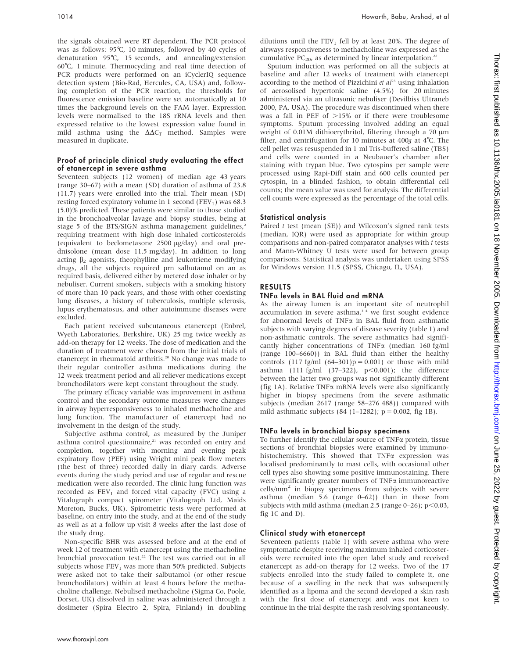the signals obtained were RT dependent. The PCR protocol was as follows: 95℃, 10 minutes, followed by 40 cycles of denaturation 95˚C, 15 seconds, and annealing/extension 60˚C, 1 minute. Thermocycling and real time detection of PCR products were performed on an iCyclerIQ sequence detection system (Bio-Rad, Hercules, CA, USA) and, following completion of the PCR reaction, the thresholds for fluorescence emission baseline were set automatically at 10 times the background levels on the FAM layer. Expression levels were normalised to the 18S rRNA levels and then expressed relative to the lowest expression value found in mild asthma using the  $\Delta\Delta C_T$  method. Samples were measured in duplicate.

#### Proof of principle clinical study evaluating the effect of etanercept in severe asthma

Seventeen subjects (12 women) of median age 43 years (range 30–67) with a mean (SD) duration of asthma of 23.8 (11.7) years were enrolled into the trial. Their mean (SD) resting forced expiratory volume in 1 second (FEV<sub>1</sub>) was 68.3 (5.0)% predicted. These patients were similar to those studied in the bronchoalveolar lavage and biopsy studies, being at stage 5 of the BTS/SIGN asthma management guidelines, $^2$ requiring treatment with high dose inhaled corticosteroids (equivalent to beclometasone 2500 mg/day) and oral prednisolone (mean dose 11.5 mg/day). In addition to long acting  $\beta_2$  agonists, theophylline and leukotriene modifying drugs, all the subjects required prn salbutamol on an as required basis, delivered either by metered dose inhaler or by nebuliser. Current smokers, subjects with a smoking history of more than 10 pack years, and those with other coexisting lung diseases, a history of tuberculosis, multiple sclerosis, lupus erythematosus, and other autoimmune diseases were excluded.

Each patient received subcutaneous etanercept (Enbrel, Wyeth Laboratories, Berkshire, UK) 25 mg twice weekly as add-on therapy for 12 weeks. The dose of medication and the duration of treatment were chosen from the initial trials of etanercept in rheumatoid arthritis.<sup>20</sup> No change was made to their regular controller asthma medications during the 12 week treatment period and all reliever medications except bronchodilators were kept constant throughout the study.

The primary efficacy variable was improvement in asthma control and the secondary outcome measures were changes in airway hyperresponsiveness to inhaled methacholine and lung function. The manufacturer of etanercept had no involvement in the design of the study.

Subjective asthma control, as measured by the Juniper asthma control questionnaire,<sup>21</sup> was recorded on entry and completion, together with morning and evening peak expiratory flow (PEF) using Wright mini peak flow meters (the best of three) recorded daily in diary cards. Adverse events during the study period and use of regular and rescue medication were also recorded. The clinic lung function was recorded as  $FEV<sub>1</sub>$  and forced vital capacity (FVC) using a Vitalograph compact spirometer (Vitalograph Ltd, Maids Moreton, Bucks, UK). Spirometric tests were performed at baseline, on entry into the study, and at the end of the study as well as at a follow up visit 8 weeks after the last dose of the study drug.

Non-specific BHR was assessed before and at the end of week 12 of treatment with etanercept using the methacholine bronchial provocation test.<sup>22</sup> The test was carried out in all subjects whose  $FEV<sub>1</sub>$  was more than 50% predicted. Subjects were asked not to take their salbutamol (or other rescue bronchodilators) within at least 4 hours before the methacholine challenge. Nebulised methacholine (Sigma Co, Poole, Dorset, UK) dissolved in saline was administered through a dosimeter (Spira Electro 2, Spira, Finland) in doubling dilutions until the  $FEV<sub>1</sub>$  fell by at least 20%. The degree of airways responsiveness to methacholine was expressed as the cumulative PC<sub>20</sub>, as determined by linear interpolation.<sup>22</sup>

Sputum induction was performed on all the subjects at baseline and after 12 weeks of treatment with etanercept according to the method of Pizzichini et  $al^{23}$  using inhalation of aerosolised hypertonic saline (4.5%) for 20 minutes administered via an ultrasonic nebuliser (Devilbiss Ultraneb 2000, PA, USA). The procedure was discontinued when there was a fall in PEF of  $>15\%$  or if there were troublesome symptoms. Sputum processing involved adding an equal weight of 0.01M dithioerythritol, filtering through a 70 um filter, and centrifugation for 10 minutes at 400g at 4˚C. The cell pellet was resuspended in 1 ml Tris-buffered saline (TBS) and cells were counted in a Neubauer's chamber after staining with trypan blue. Two cytospins per sample were processed using Rapi-Diff stain and 600 cells counted per cytospin, in a blinded fashion, to obtain differential cell counts; the mean value was used for analysis. The differential cell counts were expressed as the percentage of the total cells.

# Statistical analysis

Paired  $t$  test (mean (SE)) and Wilcoxon's signed rank tests (median, IQR) were used as appropriate for within group comparisons and non-paired comparator analyses with t tests and Mann-Whitney U tests were used for between group comparisons. Statistical analysis was undertaken using SPSS for Windows version 11.5 (SPSS, Chicago, IL, USA).

# RESULTS

# $TNFa$  levels in BAL fluid and mRNA

As the airway lumen is an important site of neutrophil accumulation in severe asthma, $3/4$  we first sought evidence for abnormal levels of TNF $\alpha$  in BAL fluid from asthmatic subjects with varying degrees of disease severity (table 1) and non-asthmatic controls. The severe asthmatics had significantly higher concentrations of TNFa (median 160 fg/ml (range 100–6660)) in BAL fluid than either the healthy controls  $(117 \text{fg/ml } (64-301)p = 0.001)$  or those with mild asthma (111 fg/ml  $(37-322)$ ,  $p<0.001$ ); the difference between the latter two groups was not significantly different (fig 1A). Relative TNFa mRNA levels were also significantly higher in biopsy specimens from the severe asthmatic subjects (median 2617 (range 58–276 488)) compared with mild asthmatic subjects (84 (1–1282);  $p = 0.002$ , fig 1B).

# $TNFa$  levels in bronchial biopsy specimens

To further identify the cellular source of  $TNF\alpha$  protein, tissue sections of bronchial biopsies were examined by immunohistochemistry. This showed that TNF<sub>a</sub> expression was localised predominantly to mast cells, with occasional other cell types also showing some positive immunostaining. There were significantly greater numbers of TNFa immunoreactive  $cells/mm<sup>2</sup>$  in biopsy specimens from subjects with severe asthma (median 5.6 (range 0–62)) than in those from subjects with mild asthma (median 2.5 (range  $0-26$ );  $p<0.03$ , fig 1C and D).

# Clinical study with etanercept

Seventeen patients (table 1) with severe asthma who were symptomatic despite receiving maximum inhaled corticosteroids were recruited into the open label study and received etanercept as add-on therapy for 12 weeks. Two of the 17 subjects enrolled into the study failed to complete it, one because of a swelling in the neck that was subsequently identified as a lipoma and the second developed a skin rash with the first dose of etanercept and was not keen to continue in the trial despite the rash resolving spontaneously.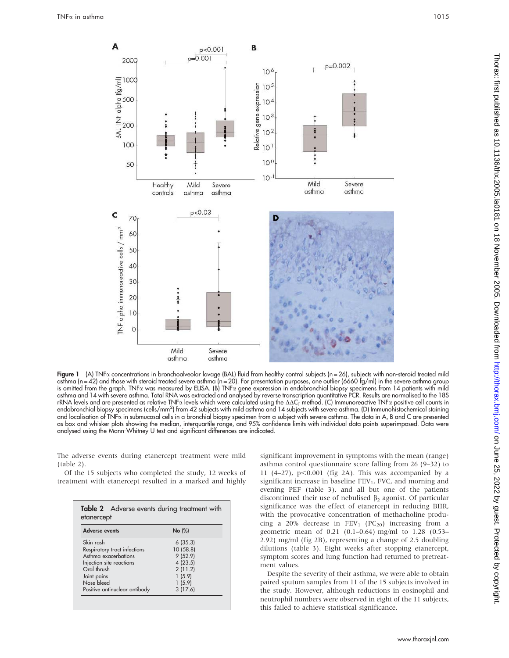

Figure 1 (A) TNFa concentrations in bronchoalveolar lavage (BAL) fluid from healthy control subjects (n = 26), subjects with non-steroid treated mild asthma (n = 42) and those with steroid treated severe asthma (n = 20). For presentation purposes, one outlier (6660 fg/ml) in the severe asthma group is omitted from the graph. TNFa was measured by ELISA. (B) TNFa gene expression in endobronchial biopsy specimens from 14 patients with mild asthma and 14 with severe asthma. Total RNA was extracted and analysed by reverse transcription quantitative PCR. Results are normalised to the 18S rRNA levels and are presented as relative TNFa levels which were calculated using the  $\Delta\Delta C_{\text{T}}$  method. (C) Immunoreactive TNFa positive cell counts in endobronchial biopsy specimens (cells/mm2 ) from 42 subjects with mild asthma and 14 subjects with severe asthma. (D) Immunohistochemical staining and localisation of TNFa in submucosal cells in a bronchial biopsy specimen from a subject with severe asthma. The data in A, B and C are presented as box and whisker plots showing the median, interquartile range, and 95% confidence limits with individual data points superimposed. Data were analysed using the Mann-Whitney U test and significant differences are indicated.

The adverse events during etanercept treatment were mild (table 2).

Of the 15 subjects who completed the study, 12 weeks of treatment with etanercept resulted in a marked and highly

| <b>Adverse events</b>         | No (%)    |  |
|-------------------------------|-----------|--|
| Skin rash                     | 6(35.3)   |  |
| Respiratory tract infections  | 10 (58.8) |  |
| Asthma exacerbations          | 9(52.9)   |  |
| Injection site reactions      | 4(23.5)   |  |
| Oral thrush                   | 2(11.2)   |  |
| Joint pains                   | 1(5.9)    |  |
| Nose bleed                    | 1(5.9)    |  |
| Positive antinuclear antibody | 3(17.6)   |  |

significant improvement in symptoms with the mean (range) asthma control questionnaire score falling from 26 (9–32) to 11 (4–27),  $p<0.001$  (fig 2A). This was accompanied by a significant increase in baseline  $FEV<sub>1</sub>$ , FVC, and morning and evening PEF (table 3), and all but one of the patients discontinued their use of nebulised  $\beta_2$  agonist. Of particular significance was the effect of etanercept in reducing BHR, with the provocative concentration of methacholine producing a 20% decrease in  $FEV_1$  (PC<sub>20</sub>) increasing from a geometric mean of 0.21 (0.1–0.64) mg/ml to 1.28 (0.53– 2.92) mg/ml (fig 2B), representing a change of 2.5 doubling dilutions (table 3). Eight weeks after stopping etanercept, symptom scores and lung function had returned to pretreatment values.

Despite the severity of their asthma, we were able to obtain paired sputum samples from 11 of the 15 subjects involved in the study. However, although reductions in eosinophil and neutrophil numbers were observed in eight of the 11 subjects, this failed to achieve statistical significance.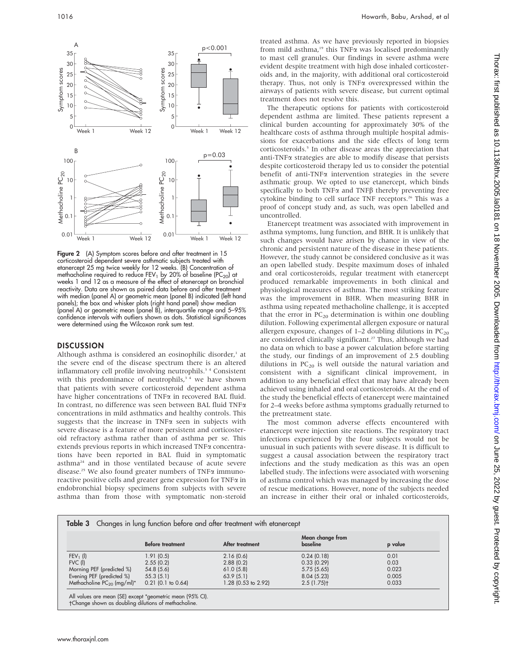

Figure 2 (A) Symptom scores before and after treatment in 15 corticosteroid dependent severe asthmatic subjects treated with etanercept 25 mg twice weekly for 12 weeks. (B) Concentration of methacholine required to reduce FEV<sub>1</sub> by 20% of baseline (PC<sub>20</sub>) at weeks 1 and 12 as a measure of the effect of etanercept on bronchial reactivity. Data are shown as paired data before and after treatment with median (panel A) or geometric mean (panel B) indicated (left hand panels); the box and whisker plots (right hand panel) show median (panel A) or geometric mean (panel B), interquartile range and 5–95% confidence intervals with outliers shown as dots. Statistical significances were determined using the Wilcoxon rank sum test.

#### **DISCUSSION**

Although asthma is considered an eosinophilic disorder,<sup>1</sup> at the severe end of the disease spectrum there is an altered inflammatory cell profile involving neutrophils.<sup>34</sup> Consistent with this predominance of neutrophils,<sup>34</sup> we have shown that patients with severe corticosteroid dependent asthma have higher concentrations of TNF $\alpha$  in recovered BAL fluid. In contrast, no difference was seen between BAL fluid TNFa concentrations in mild asthmatics and healthy controls. This suggests that the increase in TNF $\alpha$  seen in subjects with severe disease is a feature of more persistent and corticosteroid refractory asthma rather than of asthma per se. This extends previous reports in which increased TNFa concentrations have been reported in BAL fluid in symptomatic asthma<sup>24</sup> and in those ventilated because of acute severe disease.<sup>25</sup> We also found greater numbers of TNF $\alpha$  immunoreactive positive cells and greater gene expression for TNFa in endobronchial biopsy specimens from subjects with severe asthma than from those with symptomatic non-steroid

treated asthma. As we have previously reported in biopsies from mild asthma, $19$  this TNF $\alpha$  was localised predominantly to mast cell granules. Our findings in severe asthma were evident despite treatment with high dose inhaled corticosteroids and, in the majority, with additional oral corticosteroid therapy. Thus, not only is TNFa overexpressed within the airways of patients with severe disease, but current optimal treatment does not resolve this.

The therapeutic options for patients with corticosteroid dependent asthma are limited. These patients represent a clinical burden accounting for approximately 30% of the healthcare costs of asthma through multiple hospital admissions for exacerbations and the side effects of long term corticosteroids.<sup>5</sup> In other disease areas the appreciation that anti-TNF $\alpha$  strategies are able to modify disease that persists despite corticosteroid therapy led us to consider the potential benefit of anti-TNFa intervention strategies in the severe asthmatic group. We opted to use etanercept, which binds specifically to both TNF $\alpha$  and TNF $\beta$  thereby preventing free cytokine binding to cell surface TNF receptors.<sup>26</sup> This was a proof of concept study and, as such, was open labelled and uncontrolled.

Etanercept treatment was associated with improvement in asthma symptoms, lung function, and BHR. It is unlikely that such changes would have arisen by chance in view of the chronic and persistent nature of the disease in these patients. However, the study cannot be considered conclusive as it was an open labelled study. Despite maximum doses of inhaled and oral corticosteroids, regular treatment with etanercept produced remarkable improvements in both clinical and physiological measures of asthma. The most striking feature was the improvement in BHR. When measuring BHR in asthma using repeated methacholine challenge, it is accepted that the error in  $PC_{20}$  determination is within one doubling dilution. Following experimental allergen exposure or natural allergen exposure, changes of  $1-2$  doubling dilutions in  $PC_{20}$ are considered clinically significant.<sup>27</sup> Thus, although we had no data on which to base a power calculation before starting the study, our findings of an improvement of 2.5 doubling dilutions in  $PC_{20}$  is well outside the natural variation and consistent with a significant clinical improvement, in addition to any beneficial effect that may have already been achieved using inhaled and oral corticosteroids. At the end of the study the beneficial effects of etanercept were maintained for 2–4 weeks before asthma symptoms gradually returned to the pretreatment state.

The most common adverse effects encountered with etanercept were injection site reactions. The respiratory tract infections experienced by the four subjects would not be unusual in such patients with severe disease. It is difficult to suggest a causal association between the respiratory tract infections and the study medication as this was an open labelled study. The infections were associated with worsening of asthma control which was managed by increasing the dose of rescue medications. However, none of the subjects needed an increase in either their oral or inhaled corticosteroids,

|                                 | <b>Before treatment</b> | After treatment     | Mean change from<br>baseline | p value |
|---------------------------------|-------------------------|---------------------|------------------------------|---------|
| $FEV1$ (l)                      | 1.91 (0.5)              | 2.16(0.6)           | 0.24(0.18)                   | 0.01    |
| $FVC$ (l)                       | 2.55(0.2)               | 2.88(0.2)           | 0.33(0.29)                   | 0.03    |
| Morning PEF (predicted %)       | 54.8(5.6)               | 61.0(5.8)           | 5.75(5.65)                   | 0.023   |
| Evening PEF (predicted %)       | 55.3(5.1)               | 63.9(5.1)           | 8.04(5.23)                   | 0.005   |
| Methacholine $PC_{20}$ (mg/ml)* | $0.21$ (0.1 to 0.64)    | 1.28 (0.53 to 2.92) | 2.5(1.75)                    | 0.033   |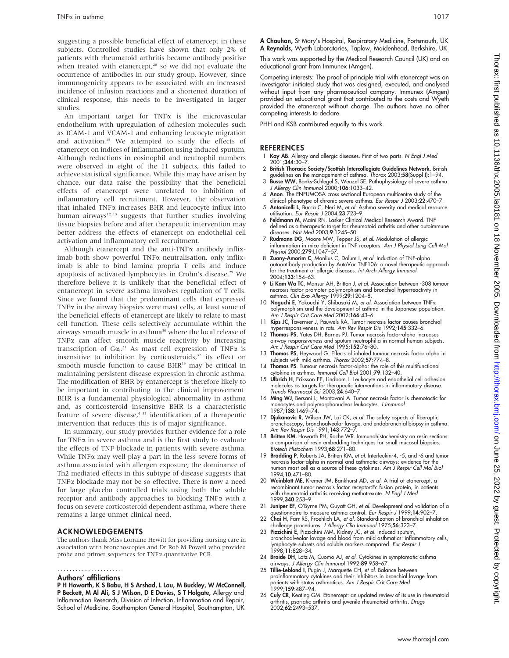suggesting a possible beneficial effect of etanercept in these subjects. Controlled studies have shown that only 2% of patients with rheumatoid arthritis became antibody positive when treated with etanercept,<sup>28</sup> so we did not evaluate the occurrence of antibodies in our study group. However, since immunogenicity appears to be associated with an increased incidence of infusion reactions and a shortened duration of clinical response, this needs to be investigated in larger studies.

An important target for  $TNF\alpha$  is the microvascular endothelium with upregulation of adhesion molecules such as ICAM-1 and VCAM-1 and enhancing leucocyte migration and activation.<sup>15</sup> We attempted to study the effects of etanercept on indices of inflammation using induced sputum. Although reductions in eosinophil and neutrophil numbers were observed in eight of the 11 subjects, this failed to achieve statistical significance. While this may have arisen by chance, our data raise the possibility that the beneficial effects of etanercept were unrelated to inhibition of inflammatory cell recruitment. However, the observation that inhaled  $TNF\alpha$  increases BHR and leucocyte influx into human airways<sup>12 13</sup> suggests that further studies involving tissue biopsies before and after therapeutic intervention may better address the effects of etanercept on endothelial cell activation and inflammatory cell recruitment.

Although etanercept and the anti-TNF $\alpha$  antibody infliximab both show powerful TNF $\alpha$  neutralisation, only infliximab is able to bind lamina propria T cells and induce apoptosis of activated lymphocytes in Crohn's disease.<sup>29</sup> We therefore believe it is unlikely that the beneficial effect of entanercept in severe asthma involves regulation of T cells. Since we found that the predominant cells that expressed  $TNF\alpha$  in the airway biopsies were mast cells, at least some of the beneficial effects of etanercept are likely to relate to mast cell function. These cells selectively accumulate within the airways smooth muscle in asthma<sup>30</sup> where the local release of  $TNF\alpha$  can affect smooth muscle reactivity by increasing transcription of  $G\alpha_i$ .<sup>31</sup> As mast cell expression of TNF $\alpha$  is insensitive to inhibition by corticosteroids,<sup>32</sup> its effect on smooth muscle function to cause BHR<sup>13</sup> may be critical in maintaining persistent disease expression in chronic asthma. The modification of BHR by entanercept is therefore likely to be important in contributing to the clinical improvement. BHR is a fundamental physiological abnormality in asthma and, as corticosteroid insensitive BHR is a characteristic feature of severe disease, $4^{33}$  identification of a therapeutic intervention that reduces this is of major significance.

In summary, our study provides further evidence for a role for TNF $\alpha$  in severe asthma and is the first study to evaluate the effects of TNF blockade in patients with severe asthma. While  $TNF\alpha$  may well play a part in the less severe forms of asthma associated with allergen exposure, the dominance of Th2 mediated effects in this subtype of disease suggests that  $TNF\alpha$  blockade may not be so effective. There is now a need for large placebo controlled trials using both the soluble receptor and antibody approaches to blocking TNFa with a focus on severe corticosteroid dependent asthma, where there remains a large unmet clinical need.

# ACKNOWLEDGEMENTS

The authors thank Miss Lorraine Hewitt for providing nursing care in association with bronchoscopies and Dr Rob M Powell who provided probe and primer sequences for TNFa quantitative PCR.

#### .....................

#### Authors' affiliations

P H Howarth, K S Babu, H S Arshad, L Lau, M Buckley, W McConnell, P Beckett, M Al Ali, S J Wilson, D E Davies, S T Holgate, Allergy and Inflammation Research, Division of Infection, Inflammation and Repair, School of Medicine, Southampton General Hospital, Southampton, UK

A Chauhan, St Mary's Hospital, Respiratory Medicine, Portsmouth, UK A Reynolds, Wyeth Laboratories, Taplow, Maidenhead, Berkshire, UK

This work was supported by the Medical Research Council (UK) and an educational grant from Immunex (Amgen).

Competing interests: The proof of principle trial with etanercept was an investigator initiated study that was designed, executed, and analysed without input from any pharmaceutical company. Immunex (Amgen) provided an educational grant that contributed to the costs and Wyeth provided the etanercept without charge. The authors have no other competing interests to declare.

PHH and KSB contributed equally to this work.

# **REFERENCES**

- 1 Kay AB. Allergy and allergic diseases. First of two parts. N Engl J Med 2001;344:30–7.
- 2 British Thoracic Society/Scottish Intercollegiate Guidelines Network. British guidelines on the management of asthma. Thorax 2003;58(Suppl I):1–94.
- 3 Busse WW, Banks-Schlegel S, Wenzel SE. Pathophysiology of severe asthma. J Allergy Clin Immunol 2000;106:1033–42.
- 4 Anon. The ENFUMOSA cross sectional European multicentre study of the clinical phenotype of chronic severe asthma. Eur Respir J 2003;22:470-7.
- 5 Antonicelli L, Bucca C, Neri M, et al. Asthma severity and medical resource utilisation. Eur Respir J 2004;23:723–9.
- 6 Feldmann M, Maini RN. Lasker Clinical Medical Research Award. TNF defined as a therapeutic target for rheumatoid arthritis and other autoimmune diseases. Nat Med 2003;9:1245–50.
- 7 Rudmann DG, Moore MW, Tepper JS, et al. Modulation of allergic inflammation in mice deficient in TNF receptors. Am J Physiol Lung Cell Mol Physiol 2000;279:L1047-57.
- 8 Zuany-Amorim C, Manlius C, Dalum I, et al. Induction of TNF-alpha autoantibody production by AutoVac TNF106: a novel therapeutic approach for the treatment of allergic diseases. Int Arch Allergy Immunol 2004;133:154–63.
- 9 Li Kam Wa TC, Mansur AH, Britton J, et al. Association between -308 tumour necrosis factor promoter polymorphism and bronchial hyperreactivity in<br>asthma. Clin Exp Allergy 1999;**29**:1204–8.<br>10 **Noguchi E**, Yokouchi Y, Shibasaki M, *et al.* Association between TNFα
- polymorphism and the development of asthma in the Japanese population. Am J Respir Crit Care Med 2002;166:43–6.
- Kips JC, Tavernier J, Pauwels RA. Tumor necrosis factor causes bronchial hyperresponsiveness in rats. Am Rev Respir Dis 1992;145:332–6.
- 12 Thomas PS, Yates DH, Barnes PJ. Tumor necrosis factor-alpha increases airway responsiveness and sputum neutrophilia in normal human subjects. Am J Respir Crit Care Med 1995;152:76–80.
- 13 Thomas PS, Heywood G. Effects of inhaled tumour necrosis factor alpha in subjects with mild asthma. Thorax 2002;57:774–8.
- 14 Thomas PS. Tumour necrosis factor-alpha: the role of this multifunctional cytokine in asthma. Immunol Cell Biol 2001;79:132-40.
- 15 Ulbrich H, Eriksson EE, Lindbom L. Leukocyte and endothelial cell adhesion molecules as targets for therapeutic interventions in inflammatory disease. Trends Pharmacol Sci 2003;24:640–7.
- 16 Ming WJ, Bersani L, Mantovani A. Tumor necrosis factor is chemotactic for monocytes and polymorphonuclear leukocytes. *J Immuno*.<br>1987;**138**:1469–74.
- 17 **Djukanovic R**, Wilson JW, Lai CK, *et al.* The safety aspects of fiberoptic<br>bronchoscopy, bronchoalveolar lavage, and endobronchial biopsy in asthma.<br>Am Rev Respir Dis 1991;1**43**:772–7.
- 18 Britten KM, Howarth PH, Roche WR. Immunohistochemistry on resin sections: a comparison of resin embedding techniques for small mucosal biopsies. Biotech Histochem 1993;68:271–80.
- 19 Bradding P, Roberts JA, Britten KM, et al. Interleukin-4, -5, and -6 and tumor necrosis factor-alpha in normal and asthmatic airways: evidence for the human mast cell as a source of these cytokines. Am J Respir Cell Mol Biol 1994;10:471–80.
- 20 Weinblatt ME, Kremer JM, Bankhurst AD, et al. A trial of etanercept, a recombinant tumor necrosis factor receptor:Fc fusion protein, in patients with rheumatoid arthritis receiving methotrexate. N Engl J Med 1999;340:253–9.
- 21 Juniper EF, O'Byrne PM, Guyatt GH, et al. Development and validation of a
- questionnaire to measure asthma control. *Eur Respir J* 1999;14:902-7 22 Chai H, Farr RS, Froehlich LA, et al. Standardization of bronchial inhalation challenge procedures. J Allergy Clin Immunol 1975;56:323–7.
- 23 **Pizzichini E**, Pizzichini MM, Kidney JC, *et al.* Induced sputum,<br>bronchoalveolar lavage and blood from mild asthmatics: inflammatory cells,<br>lymphocyte subsets and soluble markers compared. *Eur Respir J* 1998;11:828–34.
- 24 Broide DH, Lotz M, Cuomo AJ, et al. Cytokines in symptomatic asthma
- airways. *J Allergy Clin Immunol* 1992;89:958–67.<br>25 **Tillie-Leblond I**, Pugin J, Marquette CH, *et al.* Balance between<br>proinflammatory cytokines and their inhibitors in bronchial lavage from patients with status asthmaticus. Am J Respir Crit Care Med 1999;159:487–94.
- 26 Culy CR, Keating GM. Etanercept: an updated review of its use in rheumatoid arthritis, psoriatic arthritis and juvenile rheumatoid arthritis. Drugs 2002;62:2493–537.